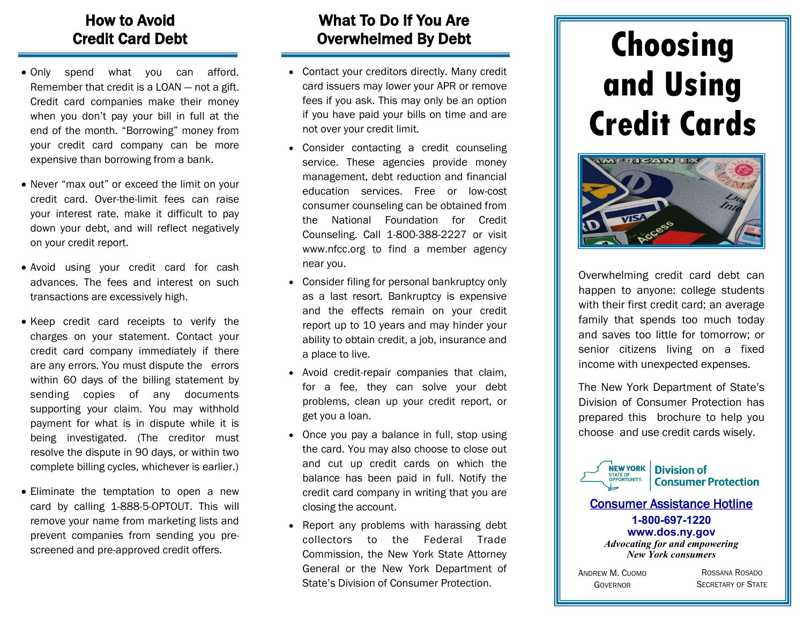## How to Avoid Credit Card Debt

- Only spend what you can afford. Remember that credit is a LOAN — not a gift. Credit card companies make their money when you don't pay your bill in full at the end of the month. "Borrowing" money from your credit card company can be more expensive than borrowing from a bank.
- Never "max out" or exceed the limit on your credit card. Over-the-limit fees can raise your interest rate, make it difficult to pay down your debt, and will reflect negatively on your credit report.
- Avoid using your credit card for cash advances. The fees and interest on such transactions are excessively high.
- Keep credit card receipts to verify the charges on your statement. Contact your credit card company immediately if there are any errors. You must dispute the errors within 60 days of the billing statement by sending copies of any documents supporting your claim. You may withhold payment for what is in dispute while it is being investigated. (The creditor must resolve the dispute in 90 days, or within two complete billing cycles, whichever is earlier.)
- Eliminate the temptation to open a new card by calling 1-888-5-OPTOUT. This will remove your name from marketing lists and prevent companies from sending you prescreened and pre-approved credit offers.

## What To Do If You Are Overwhelmed By Debt

- Contact your creditors directly. Many credit card issuers may lower your APR or remove fees if you ask. This may only be an option if you have paid your bills on time and are not over your credit limit.
- Consider contacting a credit counseling service. These agencies provide money management, debt reduction and financial education services. Free or low-cost consumer counseling can be obtained from the National Foundation for Credit Counseling. Call 1-800-388-2227 or visit www.nfcc.org to find a member agency near you.
- Consider filing for personal bankruptcy only as a last resort. Bankruptcy is expensive and the effects remain on your credit report up to 10 years and may hinder your ability to obtain credit, a job, insurance and a place to live.
- Avoid credit-repair companies that claim, for a fee, they can solve your debt problems, clean up your credit report, or get you a loan.
- Once you pay a balance in full, stop using the card. You may also choose to close out and cut up credit cards on which the balance has been paid in full. Notify the credit card company in writing that you are closing the account.
- Report any problems with harassing debt collectors to the Federal Trade Commission, the New York State Attorney General or the New York Department of State's Division of Consumer Protection.

# **Choosing and Using Credit Cards**



Overwhelming credit card debt can happen to anyone: college students with their first credit card; an average family that spends too much today and saves too little for tomorrow; or senior citizens living on a fixed income with unexpected expenses.

The New York Department of State's Division of Consumer Protection has prepared this brochure to help you choose and use credit cards wisely.



**Division of Consumer Protection** 

#### Consumer Assistance Hotline **1-800-697-1220 www.dos.ny.gov** *Advocating for and empowering New York consumers*

ANDREW M. CUOMO GOVERNOR

ROSSANA ROSADO SECRETARY OF STATE